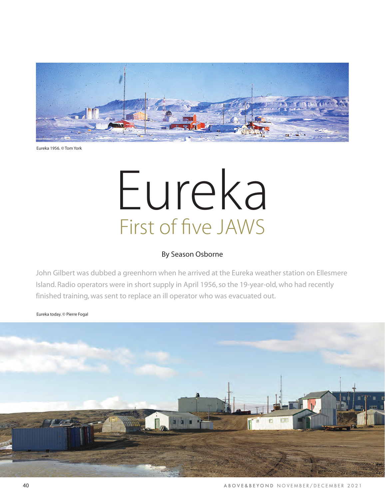

Eureka 1956. © Tom York

## Eureka First of five JAWS

## By Season Osborne

John Gilbert was dubbed a greenhorn when he arrived at the Eureka weather station on Ellesmere Island. Radio operators were in short supply in April 1956, so the 19-year-old, who had recently finished training, was sent to replace an ill operator who was evacuated out.

Eureka today. © Pierre Fogal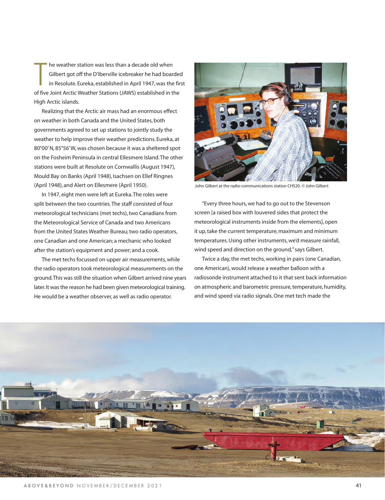T he weather station was less than a decade old when Gilbert got off the D'Iberville icebreaker he had boarded in Resolute. Eureka, established in April 1947, was the first of five Joint Arctic Weather Stations (JAWS) established in the High Arctic islands.

Realizing that the Arctic air mass had an enormous effect on weather in both Canada and the United States, both governments agreed to set up stations to jointly study the weather to help improve their weather predictions. Eureka, at 80°00' N, 85°56' W, was chosen because it was a sheltered spot on the Fosheim Peninsula in central Ellesmere Island. The other stations were built at Resolute on Cornwallis (August 1947), Mould Bay on Banks (April 1948), Isachsen on Ellef Ringnes (April 1948), and Alert on Ellesmere (April 1950).

In 1947, eight men were left at Eureka. The roles were split between the two countries. The staff consisted of four meteorological technicians (met techs), two Canadians from the Meteorological Service of Canada and two Americans from the United States Weather Bureau; two radio operators, one Canadian and one American; a mechanic who looked after the station's equipment and power; and a cook.

The met techs focussed on upper air measurements, while the radio operators took meteorological measurements on the ground. This was still the situation when Gilbert arrived nine years later. It was the reason he had been given meteorological training. He would be a weather observer, as well as radio operator.



John Gilbert at the radio-communications station CHS20. © John Gilbert

"Every three hours, we had to go out to the Stevenson screen [a raised box with louvered sides that protect the meteorological instruments inside from the elements], open it up, take the current temperature, maximum and minimum temperatures. Using other instruments, we'd measure rainfall, wind speed and direction on the ground," says Gilbert.

Twice a day, the met techs, working in pairs (one Canadian, one American), would release a weather balloon with a radiosonde instrument attached to it that sent back information on atmospheric and barometric pressure, temperature, humidity, and wind speed via radio signals. One met tech made the

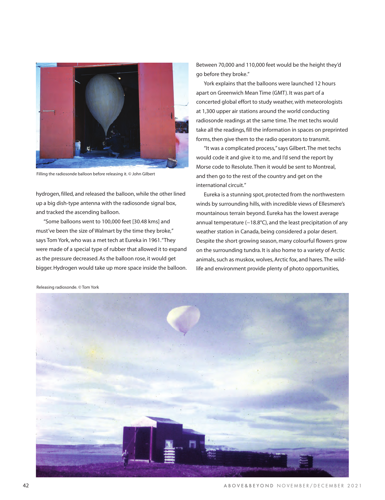

Filling the radiosonde balloon before releasing it. © John Gilbert

hydrogen, filled, and released the balloon, while the other lined up a big dish-type antenna with the radiosonde signal box, and tracked the ascending balloon.

"Some balloons went to 100,000 feet [30.48 kms] and must've been the size of Walmart by the time they broke," says Tom York, who was a met tech at Eureka in 1961. "They were made of a special type of rubber that allowed it to expand as the pressure decreased. As the balloon rose, it would get bigger. Hydrogen would take up more space inside the balloon. Between 70,000 and 110,000 feet would be the height they'd go before they broke."

York explains that the balloons were launched 12 hours apart on Greenwich Mean Time (GMT). It was part of a concerted global effort to study weather, with meteorologists at 1,300 upper air stations around the world conducting radiosonde readings at the same time. The met techs would take all the readings, fill the information in spaces on preprinted forms, then give them to the radio operators to transmit.

"It was a complicated process," says Gilbert. The met techs would code it and give it to me, and I'd send the report by Morse code to Resolute. Then it would be sent to Montreal, and then go to the rest of the country and get on the international circuit."

Eureka is a stunning spot, protected from the northwestern winds by surrounding hills, with incredible views of Ellesmere's mountainous terrain beyond. Eureka has the lowest average annual temperature (−18.8°C), and the least precipitation of any weather station in Canada, being considered a polar desert. Despite the short growing season, many colourful flowers grow on the surrounding tundra. It is also home to a variety of Arctic animals, such as muskox, wolves, Arctic fox, and hares. The wildlife and environment provide plenty of photo opportunities,



Releasing radiosonde. © Tom York